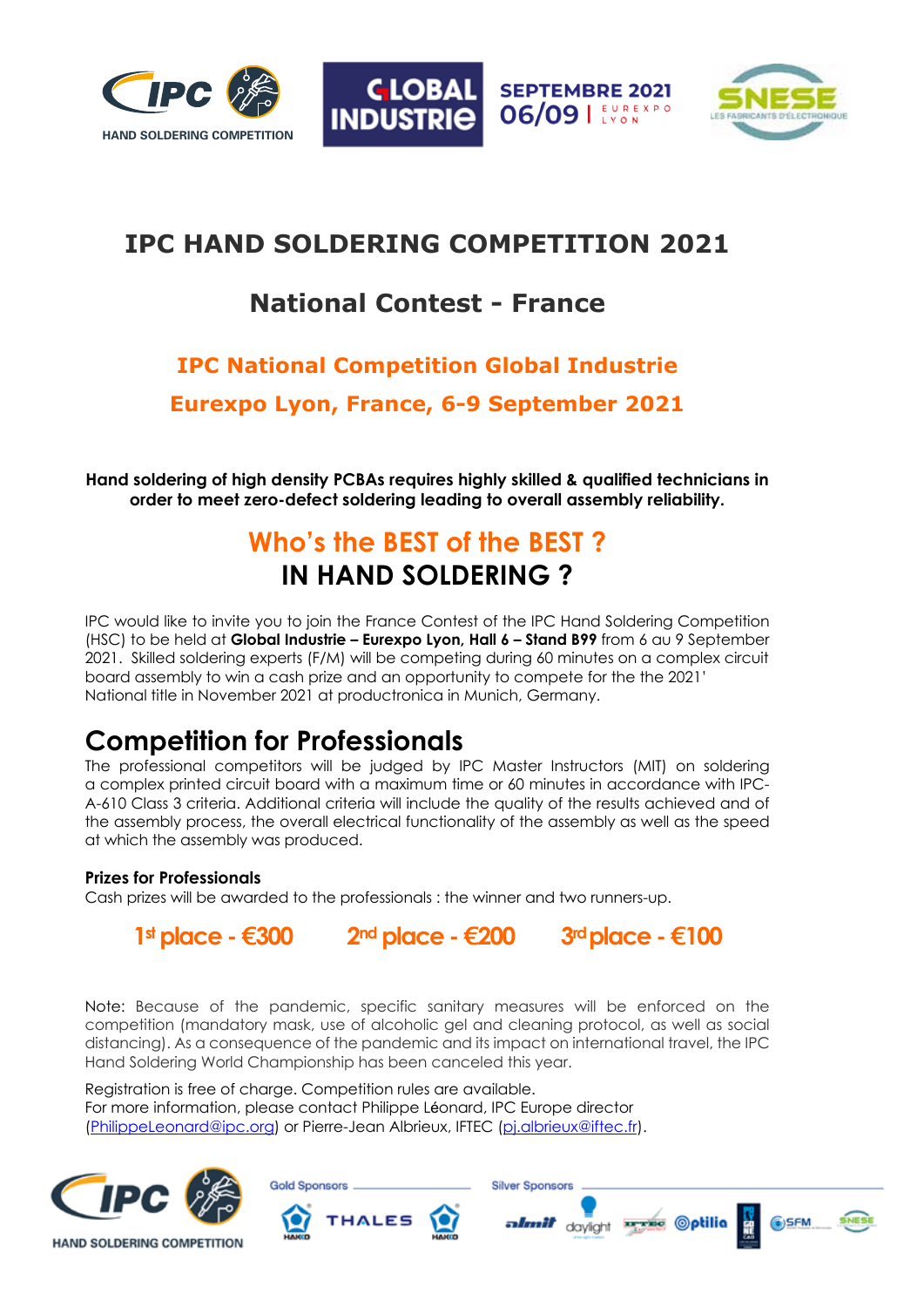





## **IPC HAND SOLDERING COMPETITION 2021**

## **National Contest - France**

# **IPC National Competition Global Industrie**

**Eurexpo Lyon, France, 6-9 September 2021**

**Hand soldering of high density PCBAs requires highly skilled & qualified technicians in order to meet zero-defect soldering leading to overall assembly reliability.** 

## **Who's the BEST of the BEST ? IN HAND SOLDERING ?**

IPC would like to invite you to join the France Contest of the IPC Hand Soldering Competition (HSC) to be held at **Global Industrie – Eurexpo Lyon, Hall 6 – Stand B99** from 6 au 9 September 2021. Skilled soldering experts (F/M) will be competing during 60 minutes on a complex circuit board assembly to win a cash prize and an opportunity to compete for the the 2021' National title in November 2021 at productronica in Munich, Germany.

# **Competition for Professionals**

The professional competitors will be judged by IPC Master Instructors (MIT) on soldering a complex printed circuit board with a maximum time or 60 minutes in accordance with IPC-A-610 Class 3 criteria. Additional criteria will include the quality of the results achieved and of the assembly process, the overall electrical functionality of the assembly as well as the speed at which the assembly was produced.

### **Prizes for Professionals**

Cash prizes will be awarded to the professionals : the winner and two runners-up.

**1stplace -€300 2nd place -€200 3rdplace -€100**

daylight

Note: Because of the pandemic, specific sanitary measures will be enforced on the competition (mandatory mask, use of alcoholic gel and cleaning protocol, as well as social distancing). As a consequence of the pandemic and its impact on international travel, the IPC Hand Soldering World Championship has been canceled this year.

Registration is free of charge. Competition rules are available. For more information, please contact Philippe Léonard, IPC Europe director (PhilippeLeonard@ipc.org) or Pierre-Jean Albrieux, IFTEC (pi.albrieux@iftec.fr).